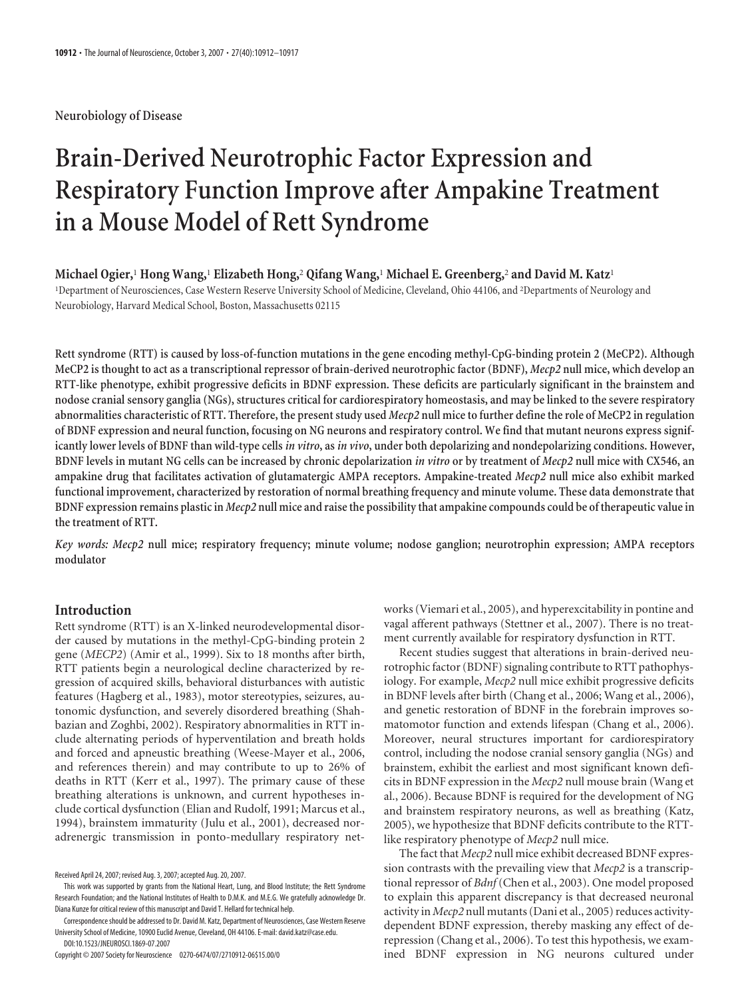**Neurobiology of Disease**

# **Brain-Derived Neurotrophic Factor Expression and Respiratory Function Improve after Ampakine Treatment in a Mouse Model of Rett Syndrome**

**Michael Ogier,**<sup>1</sup> **Hong Wang,**<sup>1</sup> **Elizabeth Hong,**<sup>2</sup> **Qifang Wang,**<sup>1</sup> **Michael E. Greenberg,**<sup>2</sup> **and David M. Katz**<sup>1</sup> 1 Department of Neurosciences, Case Western Reserve University School of Medicine, Cleveland, Ohio 44106, and <sup>2</sup> Departments of Neurology and Neurobiology, Harvard Medical School, Boston, Massachusetts 02115

**Rett syndrome (RTT) is caused by loss-of-function mutations in the gene encoding methyl-CpG-binding protein 2 (MeCP2). Although MeCP2 is thought to act as a transcriptional repressor of brain-derived neurotrophic factor (BDNF),** *Mecp2* **null mice, which develop an RTT-like phenotype, exhibit progressive deficits in BDNF expression. These deficits are particularly significant in the brainstem and nodose cranial sensory ganglia (NGs), structures critical for cardiorespiratory homeostasis, and may be linked to the severe respiratory abnormalities characteristic of RTT. Therefore, the present study used** *Mecp2* **null mice to further define the role of MeCP2 in regulation of BDNF expression and neural function, focusing on NG neurons and respiratory control. We find that mutant neurons express significantly lower levels of BDNF than wild-type cells***in vitro***, as***in vivo***, under both depolarizing and nondepolarizing conditions. However, BDNF levels in mutant NG cells can be increased by chronic depolarization** *in vitro* **or by treatment of** *Mecp2* **null mice with CX546, an ampakine drug that facilitates activation of glutamatergic AMPA receptors. Ampakine-treated** *Mecp2* **null mice also exhibit marked functional improvement, characterized by restoration of normal breathing frequency and minute volume. These data demonstrate that BDNF expression remains plastic in** *Mecp2* **null mice and raise the possibility that ampakine compounds could be of therapeutic value in the treatment of RTT.**

*Key words: Mecp2* **null mice; respiratory frequency; minute volume; nodose ganglion; neurotrophin expression; AMPA receptors modulator**

#### **Introduction**

Rett syndrome (RTT) is an X-linked neurodevelopmental disorder caused by mutations in the methyl-CpG-binding protein 2 gene (*MECP2*) (Amir et al., 1999). Six to 18 months after birth, RTT patients begin a neurological decline characterized by regression of acquired skills, behavioral disturbances with autistic features (Hagberg et al., 1983), motor stereotypies, seizures, autonomic dysfunction, and severely disordered breathing (Shahbazian and Zoghbi, 2002). Respiratory abnormalities in RTT include alternating periods of hyperventilation and breath holds and forced and apneustic breathing (Weese-Mayer et al., 2006, and references therein) and may contribute to up to 26% of deaths in RTT (Kerr et al., 1997). The primary cause of these breathing alterations is unknown, and current hypotheses include cortical dysfunction (Elian and Rudolf, 1991; Marcus et al., 1994), brainstem immaturity (Julu et al., 2001), decreased noradrenergic transmission in ponto-medullary respiratory net-

Copyright © 2007 Society for Neuroscience 0270-6474/07/2710912-06\$15.00/0

works (Viemari et al., 2005), and hyperexcitability in pontine and vagal afferent pathways (Stettner et al., 2007). There is no treatment currently available for respiratory dysfunction in RTT.

Recent studies suggest that alterations in brain-derived neurotrophic factor (BDNF) signaling contribute to RTT pathophysiology. For example, *Mecp2* null mice exhibit progressive deficits in BDNF levels after birth (Chang et al., 2006; Wang et al., 2006), and genetic restoration of BDNF in the forebrain improves somatomotor function and extends lifespan (Chang et al., 2006). Moreover, neural structures important for cardiorespiratory control, including the nodose cranial sensory ganglia (NGs) and brainstem, exhibit the earliest and most significant known deficits in BDNF expression in the *Mecp2* null mouse brain (Wang et al., 2006). Because BDNF is required for the development of NG and brainstem respiratory neurons, as well as breathing (Katz, 2005), we hypothesize that BDNF deficits contribute to the RTTlike respiratory phenotype of *Mecp2* null mice.

The fact that *Mecp2* null mice exhibit decreased BDNF expression contrasts with the prevailing view that *Mecp2* is a transcriptional repressor of *Bdnf* (Chen et al., 2003). One model proposed to explain this apparent discrepancy is that decreased neuronal activity in *Mecp2* null mutants (Dani et al., 2005) reduces activitydependent BDNF expression, thereby masking any effect of derepression (Chang et al., 2006). To test this hypothesis, we examined BDNF expression in NG neurons cultured under

Received April 24, 2007; revised Aug. 3, 2007; accepted Aug. 20, 2007.

This work was supported by grants from the National Heart, Lung, and Blood Institute; the Rett Syndrome Research Foundation; and the National Institutes of Health to D.M.K. and M.E.G. We gratefully acknowledge Dr. Diana Kunze for critical review of this manuscript and David T. Hellard for technical help.

Correspondence should be addressed to Dr. David M. Katz, Department of Neurosciences, Case Western Reserve University School of Medicine, 10900 Euclid Avenue, Cleveland, OH 44106. E-mail: david.katz@case.edu. DOI:10.1523/JNEUROSCI.1869-07.2007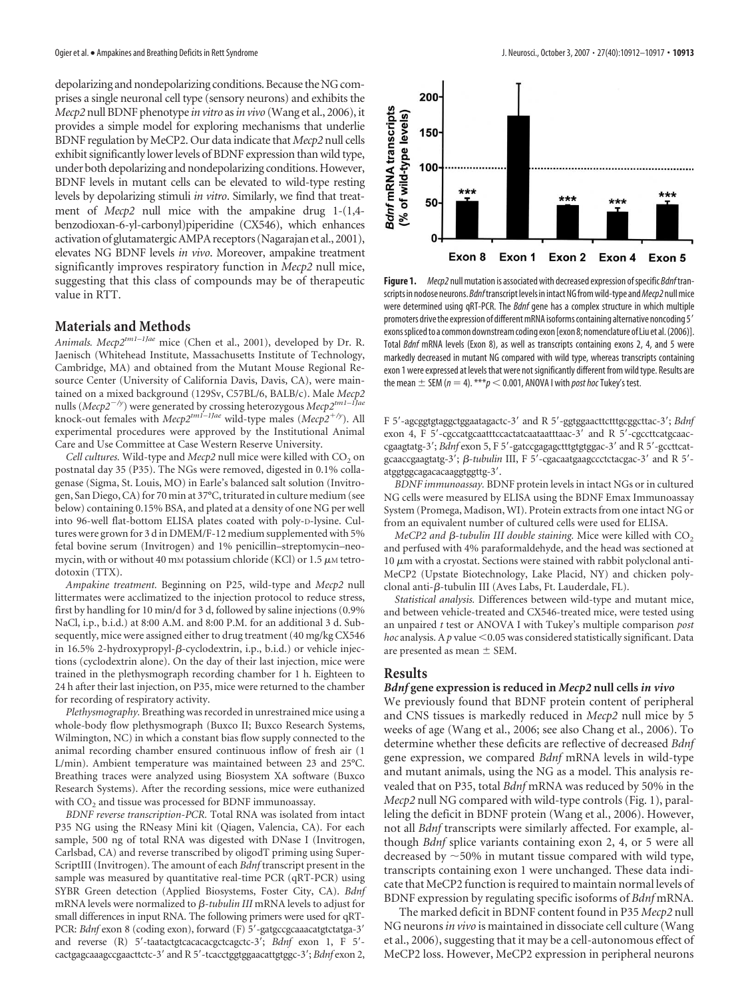depolarizing and nondepolarizing conditions. Because the NG comprises a single neuronal cell type (sensory neurons) and exhibits the *Mecp2* null BDNF phenotype *in vitro* as*in vivo* (Wang et al., 2006), it provides a simple model for exploring mechanisms that underlie BDNF regulation by MeCP2. Our data indicate that *Mecp2* null cells exhibit significantly lower levels of BDNF expression than wild type, under both depolarizing and nondepolarizing conditions. However, BDNF levels in mutant cells can be elevated to wild-type resting levels by depolarizing stimuli *in vitro*. Similarly, we find that treatment of *Mecp2* null mice with the ampakine drug 1-(1,4 benzodioxan-6-yl-carbonyl)piperidine (CX546), which enhances activation of glutamatergicAMPA receptors (Nagarajan et al., 2001), elevates NG BDNF levels *in vivo*. Moreover, ampakine treatment significantly improves respiratory function in *Mecp2* null mice, suggesting that this class of compounds may be of therapeutic value in RTT.

#### **Materials and Methods**

*Animals. Mecp2tm1–1Jae* mice (Chen et al., 2001), developed by Dr. R. Jaenisch (Whitehead Institute, Massachusetts Institute of Technology, Cambridge, MA) and obtained from the Mutant Mouse Regional Resource Center (University of California Davis, Davis, CA), were maintained on a mixed background (129Sv, C57BL/6, BALB/c). Male *Mecp2*<br>nulls (*Mecp2<sup>-/y</sup>*) were generated by crossing heterozygous *Mecp2<sup>tm1–1Jae*</sup> knock-out females with *Mecp2tm1–1Jae* wild-type males (*Mecp2*-*/y*). All experimental procedures were approved by the Institutional Animal Care and Use Committee at Case Western Reserve University.

*Cell cultures.* Wild-type and *Mecp2* null mice were killed with CO<sub>2</sub> on postnatal day 35 (P35). The NGs were removed, digested in 0.1% collagenase (Sigma, St. Louis, MO) in Earle's balanced salt solution (Invitrogen, San Diego, CA) for 70 min at 37°C, triturated in culture medium (see below) containing 0.15% BSA, and plated at a density of one NG per well into 96-well flat-bottom ELISA plates coated with poly-D-lysine. Cultures were grown for 3 d in DMEM/F-12 medium supplemented with 5% fetal bovine serum (Invitrogen) and 1% penicillin–streptomycin–neomycin, with or without 40 mm potassium chloride (KCl) or 1.5  $\mu$ M tetrodotoxin (TTX).

*Ampakine treatment.* Beginning on P25, wild-type and *Mecp2* null littermates were acclimatized to the injection protocol to reduce stress, first by handling for 10 min/d for 3 d, followed by saline injections (0.9% NaCl, i.p., b.i.d.) at 8:00 A.M. and 8:00 P.M. for an additional 3 d. Subsequently, mice were assigned either to drug treatment (40 mg/kg CX546 in 16.5% 2-hydroxypropyl-β-cyclodextrin, i.p., b.i.d.) or vehicle injections (cyclodextrin alone). On the day of their last injection, mice were trained in the plethysmograph recording chamber for 1 h. Eighteen to 24 h after their last injection, on P35, mice were returned to the chamber for recording of respiratory activity.

*Plethysmography.* Breathing was recorded in unrestrained mice using a whole-body flow plethysmograph (Buxco II; Buxco Research Systems, Wilmington, NC) in which a constant bias flow supply connected to the animal recording chamber ensured continuous inflow of fresh air (1 L/min). Ambient temperature was maintained between 23 and 25°C. Breathing traces were analyzed using Biosystem XA software (Buxco Research Systems). After the recording sessions, mice were euthanized with CO<sub>2</sub> and tissue was processed for BDNF immunoassay.

*BDNF reverse transcription-PCR.* Total RNA was isolated from intact P35 NG using the RNeasy Mini kit (Qiagen, Valencia, CA). For each sample, 500 ng of total RNA was digested with DNase I (Invitrogen, Carlsbad, CA) and reverse transcribed by oligodT priming using Super-ScriptIII (Invitrogen). The amount of each *Bdnf* transcript present in the sample was measured by quantitative real-time PCR (qRT-PCR) using SYBR Green detection (Applied Biosystems, Foster City, CA). *Bdnf* mRNA levels were normalized to *β-tubulin III* mRNA levels to adjust for small differences in input RNA. The following primers were used for qRT-PCR: *Bdnf* exon 8 (coding exon), forward (F) 5'-gatgccgcaaacatgtctatga-3' and reverse (R) 5'-taatactgtcacacacgctcagctc-3'; *Bdnf* exon 1, F 5'cactgagcaaagccgaacttctc-3 and R 5-tcacctggtggaacattgtggc-3; *Bdnf* exon 2,



**Figure 1.** *Mecp2* null mutation is associated with decreased expression ofspecific *Bdnf*transcripts in nodose neurons. *Bdnf* transcript levels in intact NG from wild-type and Mecp2 null mice were determined using qRT-PCR. The *Bdnf* gene has a complex structure in which multiple promoters drive the expression of different mRNA isoforms containing alternative noncoding 5' exons spliced to a common downstream coding exon [exon 8; nomenclature of Liu et al. (2006)]. Total *Bdnf* mRNA levels (Exon 8), as well as transcripts containing exons 2, 4, and 5 were markedly decreased in mutant NG compared with wild type, whereas transcripts containing exon 1 were expressed at levels that were notsignificantly different from wild type. Results are the mean  $\pm$  SEM ( $n = 4$ ). \*\*\* $p < 0.001$ , ANOVA I with *post hoc* Tukey's test.

F 5-agcggtgtaggctggaatagactc-3 and R 5-ggtggaacttctttgcggcttac-3; *Bdnf* exon 4, F 5'-cgccatgcaatttccactatcaataatttaac-3' and R 5'-cgccttcatgcaaccgaagtatg-3'; *Bdnf* exon 5, F 5'-gatccgagagctttgtgtggac-3' and R 5'-gccttcatgcaaccgaagtatg-3';  $\beta$ -tubulin III, F 5'-cgacaatgaagccctctacgac-3' and R 5'atggtggcagacacaaggtggttg-3'.

*BDNF immunoassay.* BDNF protein levels in intact NGs or in cultured NG cells were measured by ELISA using the BDNF Emax Immunoassay System (Promega, Madison, WI). Protein extracts from one intact NG or from an equivalent number of cultured cells were used for ELISA.

 $MeCP$ 2 and  $\beta$ -tubulin III double staining. Mice were killed with  $\mathrm{CO}_2$ and perfused with 4% paraformaldehyde, and the head was sectioned at  $10 \mu m$  with a cryostat. Sections were stained with rabbit polyclonal anti-MeCP2 (Upstate Biotechnology, Lake Placid, NY) and chicken polyclonal anti-ß-tubulin III (Aves Labs, Ft. Lauderdale, FL).

*Statistical analysis.* Differences between wild-type and mutant mice, and between vehicle-treated and CX546-treated mice, were tested using an unpaired *t* test or ANOVA I with Tukey's multiple comparison *post hoc* analysis. A  $p$  value  $\leq 0.05$  was considered statistically significant. Data are presented as mean  $\pm$  SEM.

### **Results**

#### *Bdnf* **gene expression is reduced in** *Mecp2* **null cells** *in vivo*

We previously found that BDNF protein content of peripheral and CNS tissues is markedly reduced in *Mecp2* null mice by 5 weeks of age (Wang et al., 2006; see also Chang et al., 2006). To determine whether these deficits are reflective of decreased *Bdnf* gene expression, we compared *Bdnf* mRNA levels in wild-type and mutant animals, using the NG as a model. This analysis revealed that on P35, total *Bdnf* mRNA was reduced by 50% in the *Mecp2* null NG compared with wild-type controls (Fig. 1), paralleling the deficit in BDNF protein (Wang et al., 2006). However, not all *Bdnf* transcripts were similarly affected. For example, although *Bdnf* splice variants containing exon 2, 4, or 5 were all decreased by  $\sim$  50% in mutant tissue compared with wild type, transcripts containing exon 1 were unchanged. These data indicate that MeCP2 function is required to maintain normal levels of BDNF expression by regulating specific isoforms of *Bdnf* mRNA.

The marked deficit in BDNF content found in P35 *Mecp2* null NG neurons*in vivo* is maintained in dissociate cell culture (Wang et al., 2006), suggesting that it may be a cell-autonomous effect of MeCP2 loss. However, MeCP2 expression in peripheral neurons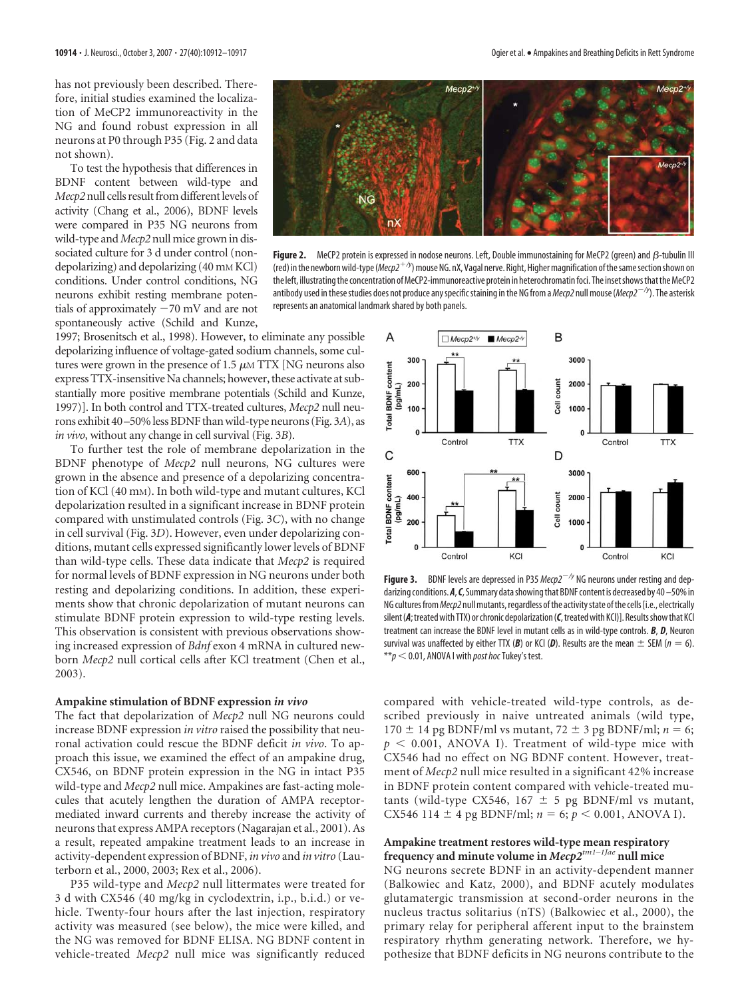has not previously been described. Therefore, initial studies examined the localization of MeCP2 immunoreactivity in the NG and found robust expression in all neurons at P0 through P35 (Fig. 2 and data not shown).

To test the hypothesis that differences in BDNF content between wild-type and *Mecp2* null cells result from different levels of activity (Chang et al., 2006), BDNF levels were compared in P35 NG neurons from wild-type and*Mecp2* null mice grown in dissociated culture for 3 d under control (nondepolarizing) and depolarizing (40 mM KCl) conditions. Under control conditions, NG neurons exhibit resting membrane potentials of approximately  $-70$  mV and are not spontaneously active (Schild and Kunze,



**Figure 2.** MeCP2 protein is expressed in nodose neurons. Left, Double immunostaining for MeCP2 (green) and  $\beta$ -tubulin III (red) in the newborn wild-type (*Mecp2+<sup>/y</sup>*) mouse NG. nX, Vagal nerve. Right, Higher magnification of the same section shown on the left, illustrating the concentration of MeCP2-immunoreactive protein in heterochromatin foci. The inset shows that the MeCP2 antibody used in these studies does not produce any specific staining in the NG from a *Mecp2* null mouse (*Mecp2<sup>-/y</sup>*). The asterisk represents an anatomical landmark shared by both panels.

1997; Brosenitsch et al., 1998). However, to eliminate any possible depolarizing influence of voltage-gated sodium channels, some cultures were grown in the presence of 1.5  $\mu$ M TTX [NG neurons also express TTX-insensitive Na channels; however, these activate at substantially more positive membrane potentials (Schild and Kunze, 1997)]. In both control and TTX-treated cultures, *Mecp2* null neurons exhibit 40 –50% less BDNF thanwild-type neurons (Fig. 3*A*), as *in vivo*, without any change in cell survival (Fig. 3*B*).

To further test the role of membrane depolarization in the BDNF phenotype of *Mecp2* null neurons, NG cultures were grown in the absence and presence of a depolarizing concentration of KCl (40 mM). In both wild-type and mutant cultures, KCl depolarization resulted in a significant increase in BDNF protein compared with unstimulated controls (Fig. 3*C*), with no change in cell survival (Fig. 3*D*). However, even under depolarizing conditions, mutant cells expressed significantly lower levels of BDNF than wild-type cells. These data indicate that *Mecp2* is required for normal levels of BDNF expression in NG neurons under both resting and depolarizing conditions. In addition, these experiments show that chronic depolarization of mutant neurons can stimulate BDNF protein expression to wild-type resting levels. This observation is consistent with previous observations showing increased expression of *Bdnf* exon 4 mRNA in cultured newborn *Mecp2* null cortical cells after KCl treatment (Chen et al., 2003).

#### **Ampakine stimulation of BDNF expression** *in vivo*

The fact that depolarization of *Mecp2* null NG neurons could increase BDNF expression *in vitro* raised the possibility that neuronal activation could rescue the BDNF deficit *in vivo*. To approach this issue, we examined the effect of an ampakine drug, CX546, on BDNF protein expression in the NG in intact P35 wild-type and *Mecp2* null mice. Ampakines are fast-acting molecules that acutely lengthen the duration of AMPA receptormediated inward currents and thereby increase the activity of neurons that express AMPA receptors (Nagarajan et al., 2001). As a result, repeated ampakine treatment leads to an increase in activity-dependent expression of BDNF, *in vivo* and *in vitro* (Lauterborn et al., 2000, 2003; Rex et al., 2006).

P35 wild-type and *Mecp2* null littermates were treated for 3 d with CX546 (40 mg/kg in cyclodextrin, i.p., b.i.d.) or vehicle. Twenty-four hours after the last injection, respiratory activity was measured (see below), the mice were killed, and the NG was removed for BDNF ELISA. NG BDNF content in vehicle-treated *Mecp2* null mice was significantly reduced



**Figure 3.** BDNF levels are depressed in P35  $Mecp2^{-/y}$  NG neurons under resting and depdarizing conditions. A, C, Summary data showing that BDNF content is decreased by 40 –50% in NG cultures from *Mecp2* null mutants, regardless of the activity state of the cells [i.e., electrically silent (A; treated with TTX) or chronic depolarization (C, treated with KCl)]. Results show that KCl treatment can increase the BDNF level in mutant cells as in wild-type controls. *B*, *D*, Neuron survival was unaffected by either TTX (B) or KCl (D). Results are the mean  $\pm$  SEM ( $n = 6$ ).  $**p < 0.01$ , ANOVA I with *post hoc* Tukey's test.

compared with vehicle-treated wild-type controls, as described previously in naive untreated animals (wild type,  $170 \pm 14$  pg BDNF/ml vs mutant,  $72 \pm 3$  pg BDNF/ml;  $n = 6$ ;  $p \le 0.001$ , ANOVA I). Treatment of wild-type mice with CX546 had no effect on NG BDNF content. However, treatment of *Mecp2* null mice resulted in a significant 42% increase in BDNF protein content compared with vehicle-treated mutants (wild-type CX546, 167  $\pm$  5 pg BDNF/ml vs mutant, CX546 114  $\pm$  4 pg BDNF/ml;  $n = 6$ ;  $p < 0.001$ , ANOVA I).

#### **Ampakine treatment restores wild-type mean respiratory frequency and minute volume in** *Mecp2tm1–1Jae* **null mice**

NG neurons secrete BDNF in an activity-dependent manner (Balkowiec and Katz, 2000), and BDNF acutely modulates glutamatergic transmission at second-order neurons in the nucleus tractus solitarius (nTS) (Balkowiec et al., 2000), the primary relay for peripheral afferent input to the brainstem respiratory rhythm generating network. Therefore, we hypothesize that BDNF deficits in NG neurons contribute to the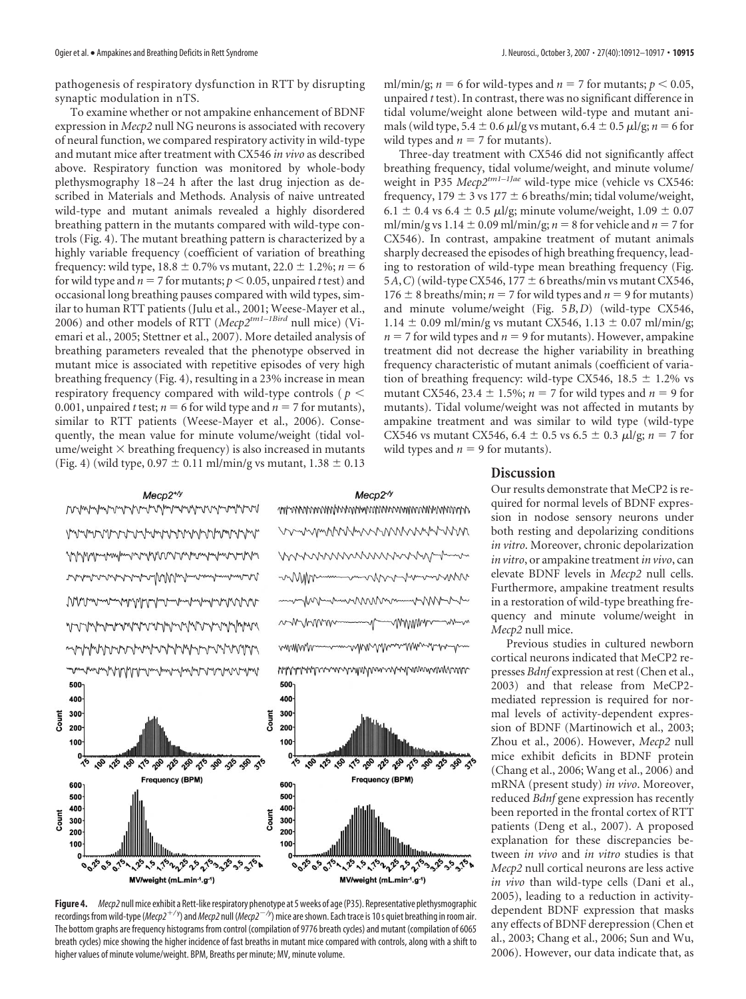pathogenesis of respiratory dysfunction in RTT by disrupting synaptic modulation in nTS.

To examine whether or not ampakine enhancement of BDNF expression in *Mecp2* null NG neurons is associated with recovery of neural function, we compared respiratory activity in wild-type and mutant mice after treatment with CX546 *in vivo* as described above. Respiratory function was monitored by whole-body plethysmography 18 –24 h after the last drug injection as described in Materials and Methods. Analysis of naive untreated wild-type and mutant animals revealed a highly disordered breathing pattern in the mutants compared with wild-type controls (Fig. 4). The mutant breathing pattern is characterized by a highly variable frequency (coefficient of variation of breathing frequency: wild type,  $18.8 \pm 0.7\%$  vs mutant,  $22.0 \pm 1.2\%$ ;  $n = 6$ for wild type and  $n = 7$  for mutants;  $p < 0.05$ , unpaired *t* test) and occasional long breathing pauses compared with wild types, similar to human RTT patients (Julu et al., 2001; Weese-Mayer et al., 2006) and other models of RTT (*Mecp2tm1–1Bird* null mice) (Viemari et al., 2005; Stettner et al., 2007). More detailed analysis of breathing parameters revealed that the phenotype observed in mutant mice is associated with repetitive episodes of very high breathing frequency (Fig. 4), resulting in a 23% increase in mean respiratory frequency compared with wild-type controls ( *p* 0.001, unpaired *t* test;  $n = 6$  for wild type and  $n = 7$  for mutants), similar to RTT patients (Weese-Mayer et al., 2006). Consequently, the mean value for minute volume/weight (tidal vol $u$ ume/weight  $\times$  breathing frequency) is also increased in mutants (Fig. 4) (wild type,  $0.97 \pm 0.11$  ml/min/g vs mutant,  $1.38 \pm 0.13$ 

ml/min/g;  $n = 6$  for wild-types and  $n = 7$  for mutants;  $p < 0.05$ , unpaired *t* test). In contrast, there was no significant difference in tidal volume/weight alone between wild-type and mutant animals (wild type,  $5.4 \pm 0.6$   $\mu$ l/g vs mutant,  $6.4 \pm 0.5$   $\mu$ l/g;  $n = 6$  for wild types and  $n = 7$  for mutants).

Three-day treatment with CX546 did not significantly affect breathing frequency, tidal volume/weight, and minute volume/ weight in P35 *Mecp2tm1–1Jae* wild-type mice (vehicle vs CX546: frequency,  $179 \pm 3$  vs  $177 \pm 6$  breaths/min; tidal volume/weight, 6.1  $\pm$  0.4 vs 6.4  $\pm$  0.5  $\mu$ l/g; minute volume/weight, 1.09  $\pm$  0.07 ml/min/g vs  $1.14 \pm 0.09$  ml/min/g;  $n = 8$  for vehicle and  $n = 7$  for CX546). In contrast, ampakine treatment of mutant animals sharply decreased the episodes of high breathing frequency, leading to restoration of wild-type mean breathing frequency (Fig. 5*A*, *C*) (wild-type CX546, 177  $\pm$  6 breaths/min vs mutant CX546, 176  $\pm$  8 breaths/min; *n* = 7 for wild types and *n* = 9 for mutants) and minute volume/weight (Fig. 5*B*,*D*) (wild-type CX546,  $1.14 \pm 0.09$  ml/min/g vs mutant CX546,  $1.13 \pm 0.07$  ml/min/g;  $n = 7$  for wild types and  $n = 9$  for mutants). However, ampakine treatment did not decrease the higher variability in breathing frequency characteristic of mutant animals (coefficient of variation of breathing frequency: wild-type CX546,  $18.5 \pm 1.2\%$  vs mutant CX546, 23.4  $\pm$  1.5%; *n* = 7 for wild types and *n* = 9 for mutants). Tidal volume/weight was not affected in mutants by ampakine treatment and was similar to wild type (wild-type CX546 vs mutant CX546, 6.4  $\pm$  0.5 vs 6.5  $\pm$  0.3  $\mu$ l/g; *n* = 7 for wild types and  $n = 9$  for mutants).

#### $Mecp2<sup>-/y</sup>$  $Mecp2^{+\prime y}$ www.mmuruhan.com/www.mmuruhan.com/www mpwwwwwwwwwwwwwwwwwwwwwww wwwwwwwwwwwww *Northern Charles And March And March And March* mmmmmmmmm monning Munimumumum wwww mmm naman mundan sanan san mmm mymyny WWW.MANUTOmontomy/www.manutomy/www.manuto 500 500 400 400 Count 300 300 Count 200 200 100 100 William 10 12 19 11 20 12 29 11 20  $\mathcal{C}_{\mathcal{A}}$ to to to be to to to to be to to Frequency (BPM) Frequency (BPM) 600 600 500 500 400 400 Count Count 300 300 200 200 100 100

## **००**९२०१० ११२५,१६४१,१६४४६४ १४४४,४६४४४ १४ **०**०<sup>16</sup>०°० १<sup>6</sup>५,१° ५° ५१° 2012 के 21° 25° 26° 21° 2

MV/weight (mL.min-1.g-1)

MV/weight (mL.min-1.g-1)

Figure 4. *Mecp2* null mice exhibit a Rett-like respiratory phenotype at 5 weeks of age (P35). Representative plethysmographic recordings from wild-type (*Mecp2<sup>+/y</sup>*) and *Mecp2* null (*Mecp2<sup>—/y</sup>) m*ice are shown. Each trace is 10s quiet breathing in room air. The bottom graphs are frequency histograms from control (compilation of 9776 breath cycles) and mutant (compilation of 6065 breath cycles) mice showing the higher incidence of fast breaths in mutant mice compared with controls, along with a shift to higher values of minute volume/weight. BPM, Breaths per minute; MV, minute volume.

#### **Discussion**

Our results demonstrate that MeCP2 is required for normal levels of BDNF expression in nodose sensory neurons under both resting and depolarizing conditions *in vitro*. Moreover, chronic depolarization *in vitro*, or ampakine treatment *in vivo*, can elevate BDNF levels in *Mecp2* null cells. Furthermore, ampakine treatment results in a restoration of wild-type breathing frequency and minute volume/weight in *Mecp2* null mice.

Previous studies in cultured newborn cortical neurons indicated that MeCP2 represses *Bdnf* expression at rest (Chen et al., 2003) and that release from MeCP2 mediated repression is required for normal levels of activity-dependent expression of BDNF (Martinowich et al., 2003; Zhou et al., 2006). However, *Mecp2* null mice exhibit deficits in BDNF protein (Chang et al., 2006; Wang et al., 2006) and mRNA (present study) *in vivo*. Moreover, reduced *Bdnf* gene expression has recently been reported in the frontal cortex of RTT patients (Deng et al., 2007). A proposed explanation for these discrepancies between *in vivo* and *in vitro* studies is that *Mecp2* null cortical neurons are less active *in vivo* than wild-type cells (Dani et al., 2005), leading to a reduction in activitydependent BDNF expression that masks any effects of BDNF derepression (Chen et al., 2003; Chang et al., 2006; Sun and Wu, 2006). However, our data indicate that, as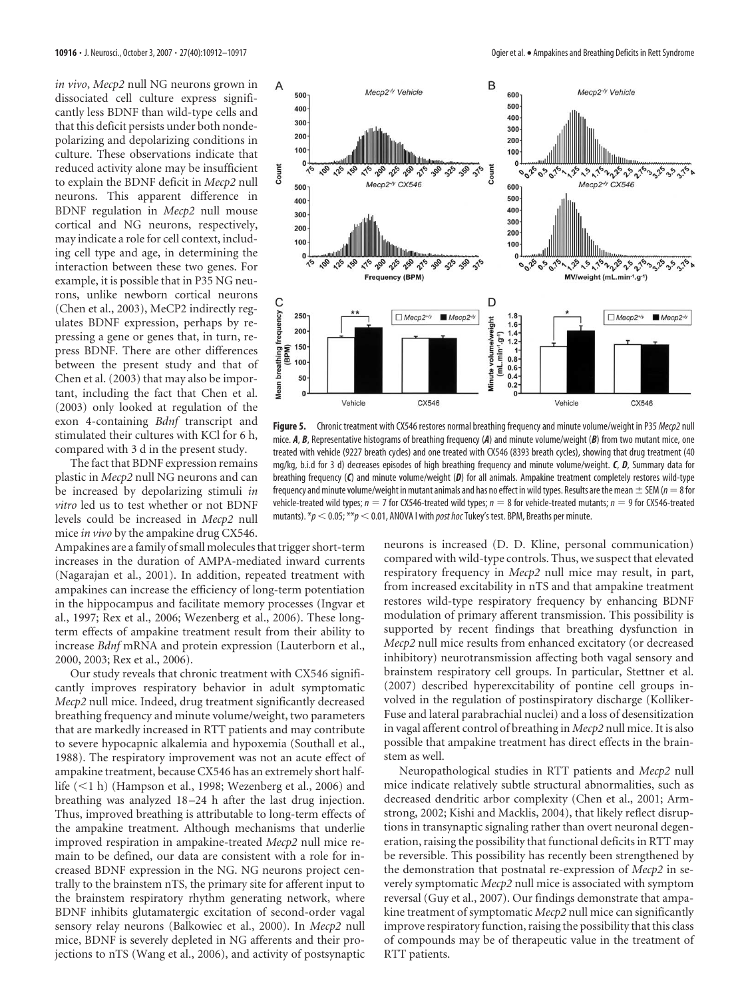*in vivo*, *Mecp2* null NG neurons grown in dissociated cell culture express significantly less BDNF than wild-type cells and that this deficit persists under both nondepolarizing and depolarizing conditions in culture. These observations indicate that reduced activity alone may be insufficient to explain the BDNF deficit in *Mecp2* null neurons. This apparent difference in BDNF regulation in *Mecp2* null mouse cortical and NG neurons, respectively, may indicate a role for cell context, including cell type and age, in determining the interaction between these two genes. For example, it is possible that in P35 NG neurons, unlike newborn cortical neurons (Chen et al., 2003), MeCP2 indirectly regulates BDNF expression, perhaps by repressing a gene or genes that, in turn, repress BDNF. There are other differences between the present study and that of Chen et al. (2003) that may also be important, including the fact that Chen et al. (2003) only looked at regulation of the exon 4-containing *Bdnf* transcript and stimulated their cultures with KCl for 6 h, compared with 3 d in the present study.

The fact that BDNF expression remains plastic in *Mecp2* null NG neurons and can be increased by depolarizing stimuli *in vitro* led us to test whether or not BDNF levels could be increased in *Mecp2* null mice *in vivo* by the ampakine drug CX546.

Ampakines are a family of small molecules that trigger short-term increases in the duration of AMPA-mediated inward currents (Nagarajan et al., 2001). In addition, repeated treatment with ampakines can increase the efficiency of long-term potentiation in the hippocampus and facilitate memory processes (Ingvar et al., 1997; Rex et al., 2006; Wezenberg et al., 2006). These longterm effects of ampakine treatment result from their ability to increase *Bdnf* mRNA and protein expression (Lauterborn et al., 2000, 2003; Rex et al., 2006).

Our study reveals that chronic treatment with CX546 significantly improves respiratory behavior in adult symptomatic *Mecp2* null mice. Indeed, drug treatment significantly decreased breathing frequency and minute volume/weight, two parameters that are markedly increased in RTT patients and may contribute to severe hypocapnic alkalemia and hypoxemia (Southall et al., 1988). The respiratory improvement was not an acute effect of ampakine treatment, because CX546 has an extremely short halflife  $(<1 h)$  (Hampson et al., 1998; Wezenberg et al., 2006) and breathing was analyzed 18 –24 h after the last drug injection. Thus, improved breathing is attributable to long-term effects of the ampakine treatment. Although mechanisms that underlie improved respiration in ampakine-treated *Mecp2* null mice remain to be defined, our data are consistent with a role for increased BDNF expression in the NG. NG neurons project centrally to the brainstem nTS, the primary site for afferent input to the brainstem respiratory rhythm generating network, where BDNF inhibits glutamatergic excitation of second-order vagal sensory relay neurons (Balkowiec et al., 2000). In *Mecp2* null mice, BDNF is severely depleted in NG afferents and their projections to nTS (Wang et al., 2006), and activity of postsynaptic



**Figure 5.** Chronic treatment with CX546 restores normal breathing frequency and minute volume/weight in P35 *Mecp2* null mice. *A*, *B*, Representative histograms of breathing frequency (*A*) and minute volume/weight (*B*) from two mutant mice, one treated with vehicle (9227 breath cycles) and one treated with CX546 (8393 breath cycles), showing that drug treatment (40 mg/kg, b.i.d for 3 d) decreases episodes of high breathing frequency and minute volume/weight. *C*, *D*, Summary data for breathing frequency (*C*) and minute volume/weight (*D*) for all animals. Ampakine treatment completely restores wild-type frequency and minute volume/weight in mutant animals and has no effect in wild types. Results are the mean  $\pm$  SEM ( $n=8$  for vehicle-treated wild types;  $n = 7$  for CX546-treated wild types;  $n = 8$  for vehicle-treated mutants;  $n = 9$  for CX546-treated mutants).  $*p < 0.05$ ;  $**p < 0.01$ , ANOVA I with *post hoc* Tukey's test. BPM, Breaths per minute.

neurons is increased (D. D. Kline, personal communication) compared with wild-type controls. Thus, we suspect that elevated respiratory frequency in *Mecp2* null mice may result, in part, from increased excitability in nTS and that ampakine treatment restores wild-type respiratory frequency by enhancing BDNF modulation of primary afferent transmission. This possibility is supported by recent findings that breathing dysfunction in *Mecp2* null mice results from enhanced excitatory (or decreased inhibitory) neurotransmission affecting both vagal sensory and brainstem respiratory cell groups. In particular, Stettner et al. (2007) described hyperexcitability of pontine cell groups involved in the regulation of postinspiratory discharge (Kolliker-Fuse and lateral parabrachial nuclei) and a loss of desensitization in vagal afferent control of breathing in *Mecp2* null mice. It is also possible that ampakine treatment has direct effects in the brainstem as well.

Neuropathological studies in RTT patients and *Mecp2* null mice indicate relatively subtle structural abnormalities, such as decreased dendritic arbor complexity (Chen et al., 2001; Armstrong, 2002; Kishi and Macklis, 2004), that likely reflect disruptions in transynaptic signaling rather than overt neuronal degeneration, raising the possibility that functional deficits in RTT may be reversible. This possibility has recently been strengthened by the demonstration that postnatal re-expression of *Mecp2* in severely symptomatic *Mecp2* null mice is associated with symptom reversal (Guy et al., 2007). Our findings demonstrate that ampakine treatment of symptomatic *Mecp2* null mice can significantly improve respiratory function, raising the possibility that this class of compounds may be of therapeutic value in the treatment of RTT patients.